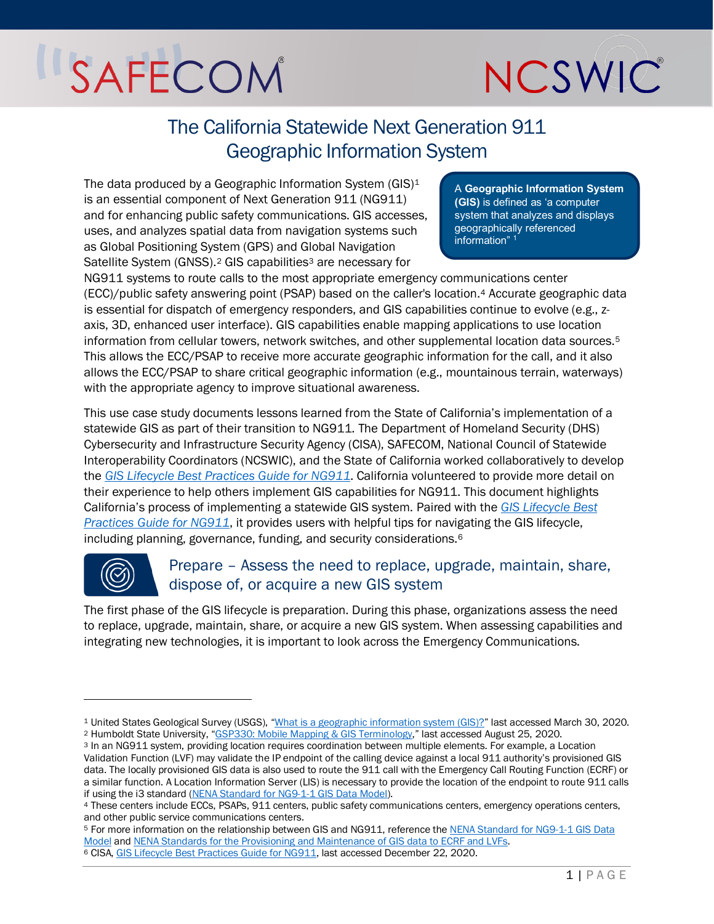

## The California Statewide Next Generation 911 Geographic Information System

The data produced by a Geographic Information System (GIS)<sup>[1](#page-0-0)</sup> is an essential component of Next Generation 911 (NG911) and for enhancing public safety communications. GIS accesses, uses, and analyzes spatial data from navigation systems such as Global Positioning System (GPS) and Global Navigation Satellite System (GNSS).<sup>[2](#page-0-1)</sup> GIS capabilities<sup>[3](#page-0-2)</sup> are necessary for

A **Geographic Information System (GIS)** is defined as 'a computer system that analyzes and displays geographically referenced information"<sup>1</sup>

NG911 systems to route calls to the most appropriate emergency communications center (ECC)/public safety answering point (PSAP) based on the caller's location.[4](#page-0-3) Accurate geographic data is essential for dispatch of emergency responders, and GIS capabilities continue to evolve (e.g., zaxis, 3D, enhanced user interface). GIS capabilities enable mapping applications to use location information from cellular towers, network switches, and other supplemental location data sources.[5](#page-0-4) This allows the ECC/PSAP to receive more accurate geographic information for the call, and it also allows the ECC/PSAP to share critical geographic information (e.g., mountainous terrain, waterways) with the appropriate agency to improve situational awareness.

This use case study documents lessons learned from the State of California's implementation of a statewide GIS as part of their transition to NG911. The Department of Homeland Security (DHS) Cybersecurity and Infrastructure Security Agency (CISA), SAFECOM, National Council of Statewide Interoperability Coordinators (NCSWIC), and the State of California worked collaboratively to develop the *[GIS Lifecycle Best Practices Guide for NG911](https://www.cisa.gov/publication/next-generation-911)*. California volunteered to provide more detail on their experience to help others implement GIS capabilities for NG911. This document highlights California's process of implementing a statewide GIS system. Paired with the *[GIS Lifecycle Best](https://www.cisa.gov/publication/next-generation-911)  [Practices Guide for NG911](https://www.cisa.gov/publication/next-generation-911)*, it provides users with helpful tips for navigating the GIS lifecycle, including planning, governance, funding, and security considerations.[6](#page-0-5)



### Prepare – Assess the need to replace, upgrade, maintain, share, dispose of, or acquire a new GIS system

The first phase of the GIS lifecycle is preparation. During this phase, organizations assess the need to replace, upgrade, maintain, share, or acquire a new GIS system. When assessing capabilities and integrating new technologies, it is important to look across the Emergency Communications.

<span id="page-0-0"></span><sup>1</sup> United States Geological Survey (USGS), ["What is a geographic information system \(GIS\)?"](https://www.usgs.gov/faqs/what-a-geographic-information-system-gis?qt-news_science_products=0#qt-news_science_products) last accessed March 30, 2020.

<span id="page-0-1"></span><sup>2</sup> Humboldt State University, ["GSP330: Mobile Mapping & GIS Terminology,"](http://gis.humboldt.edu/club/old_website/Images/Documents/MobileMapping_Terminology.pdf) last accessed August 25, 2020.

<span id="page-0-2"></span><sup>3</sup> In an NG911 system, providing location requires coordination between multiple elements. For example, a Location Validation Function (LVF) may validate the IP endpoint of the calling device against a local 911 authority's provisioned GIS data. The locally provisioned GIS data is also used to route the 911 call with the Emergency Call Routing Function (ECRF) or a similar function. A Location Information Server (LIS) is necessary to provide the location of the endpoint to route 911 calls if using the i3 standard [\(NENA Standard for NG9-1-1 GIS Data Model\)](https://www.nena.org/page/NG911GISDataModel).

<span id="page-0-3"></span><sup>4</sup> These centers include ECCs, PSAPs, 911 centers, public safety communications centers, emergency operations centers, and other public service communications centers.

<span id="page-0-4"></span><sup>5</sup> For more information on the relationship between GIS and NG911, reference the [NENA Standard for NG9-1-1 GIS Data](https://www.nena.org/page/NG911GISDataModel)  [Model](https://www.nena.org/page/NG911GISDataModel) an[d NENA Standards for the Provisioning and Maintenance of GIS data to ECRF and LVFs.](https://www.nena.org/page/ProvGISECRFLVF)

<span id="page-0-5"></span><sup>6</sup> CISA[, GIS Lifecycle Best Practices Guide for NG911,](https://www.cisa.gov/sites/default/files/publications/SAFECOM-NCSWIC_GIS%20Lifecycle%20Best%20Practices%20Guide_9.22.20%20-%20FINAL_%28508c%29.pdf) last accessed December 22, 2020.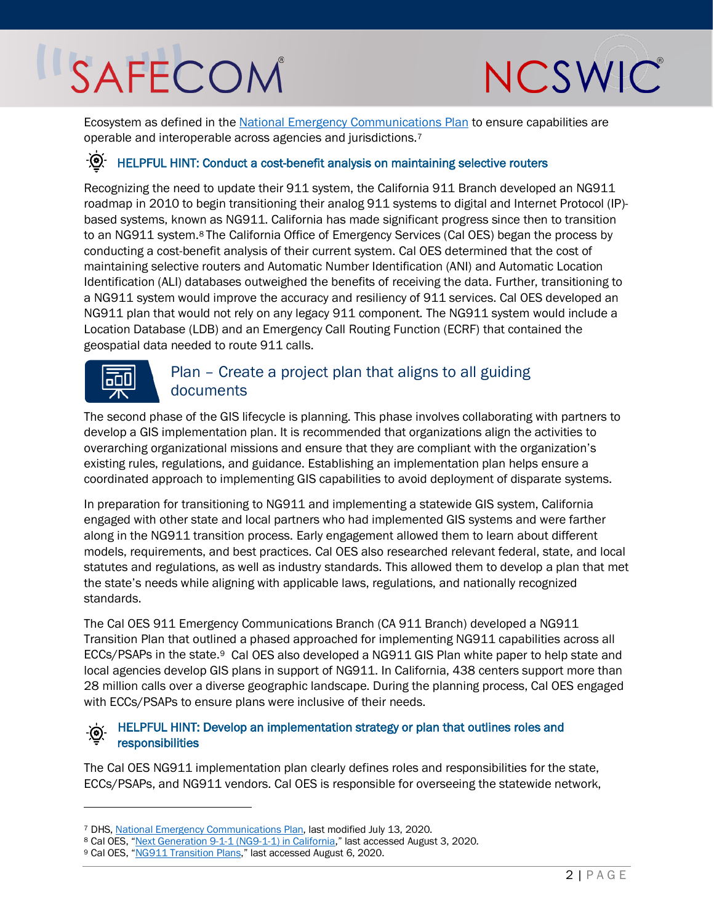

Ecosystem as defined in the [National Emergency Communications Plan](https://www.cisa.gov/publication/2019-national-emergency-communications-plan) to ensure capabilities are operable and interoperable across agencies and jurisdictions.[7](#page-1-0)

## $\overrightarrow{Q}$ . HELPFUL HINT: Conduct a cost-benefit analysis on maintaining selective routers

Recognizing the need to update their 911 system, the California 911 Branch developed an NG911 roadmap in 2010 to begin transitioning their analog 911 systems to digital and Internet Protocol (IP) based systems, known as NG911. California has made significant progress since then to transition to an NG911 system.[8](#page-1-1) The California Office of Emergency Services (Cal OES) began the process by conducting a cost-benefit analysis of their current system. Cal OES determined that the cost of maintaining selective routers and Automatic Number Identification (ANI) and Automatic Location Identification (ALI) databases outweighed the benefits of receiving the data. Further, transitioning to a NG911 system would improve the accuracy and resiliency of 911 services. Cal OES developed an NG911 plan that would not rely on any legacy 911 component. The NG911 system would include a Location Database (LDB) and an Emergency Call Routing Function (ECRF) that contained the geospatial data needed to route 911 calls.



### Plan – Create a project plan that aligns to all guiding documents

The second phase of the GIS lifecycle is planning. This phase involves collaborating with partners to develop a GIS implementation plan. It is recommended that organizations align the activities to overarching organizational missions and ensure that they are compliant with the organization's existing rules, regulations, and guidance. Establishing an implementation plan helps ensure a coordinated approach to implementing GIS capabilities to avoid deployment of disparate systems.

In preparation for transitioning to NG911 and implementing a statewide GIS system, California engaged with other state and local partners who had implemented GIS systems and were farther along in the NG911 transition process. Early engagement allowed them to learn about different models, requirements, and best practices. Cal OES also researched relevant federal, state, and local statutes and regulations, as well as industry standards. This allowed them to develop a plan that met the state's needs while aligning with applicable laws, regulations, and nationally recognized standards.

The Cal OES 911 Emergency Communications Branch (CA 911 Branch) developed a NG911 Transition Plan that outlined a phased approached for implementing NG911 capabilities across all ECCs/PSAPs in the state.<sup>9</sup> Cal OES also developed a NG911 GIS Plan white paper to help state and local agencies develop GIS plans in support of NG911. In California, 438 centers support more than 28 million calls over a diverse geographic landscape. During the planning process, Cal OES engaged with ECCs/PSAPs to ensure plans were inclusive of their needs.

#### HELPFUL HINT: Develop an implementation strategy or plan that outlines roles and responsibilities

The Cal OES NG911 implementation plan clearly defines roles and responsibilities for the state, ECCs/PSAPs, and NG911 vendors. Cal OES is responsible for overseeing the statewide network,

<span id="page-1-0"></span><sup>7</sup> DHS, [National Emergency Communications Plan,](https://www.cisa.gov/necp) last modified July 13, 2020.

<span id="page-1-1"></span><sup>8</sup> Cal OES, ["Next Generation 9-1-1 \(NG9-1-1\) in California,"](https://www.caloes.ca.gov/governments-tribal/public-safety/ca-9-1-1-emergency-communications-branch/ca-9-1-1-technology) last accessed August 3, 2020. 9 Cal OES, ["NG911 Transition Plans,](https://www.caloes.ca.gov/PublicSafetyCommunicationsSite/Documents/0001-Next%20Generation%209-1-1%20Transition%20Plans.pdf)" last accessed August 6, 2020.

<span id="page-1-2"></span>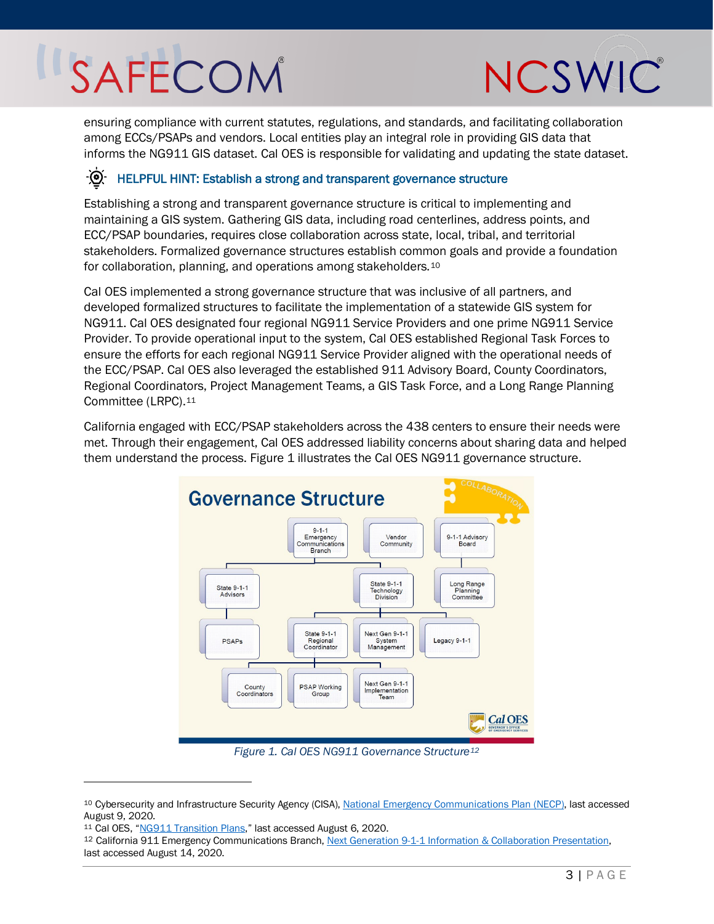

ensuring compliance with current statutes, regulations, and standards, and facilitating collaboration among ECCs/PSAPs and vendors. Local entities play an integral role in providing GIS data that informs the NG911 GIS dataset. Cal OES is responsible for validating and updating the state dataset.

#### <u>-၉</u> HELPFUL HINT: Establish a strong and transparent governance structure

Establishing a strong and transparent governance structure is critical to implementing and maintaining a GIS system. Gathering GIS data, including road centerlines, address points, and ECC/PSAP boundaries, requires close collaboration across state, local, tribal, and territorial stakeholders. Formalized governance structures establish common goals and provide a foundation for collaboration, planning, and operations among stakeholders.[10](#page-2-1) 

Cal OES implemented a strong governance structure that was inclusive of all partners, and developed formalized structures to facilitate the implementation of a statewide GIS system for NG911. Cal OES designated four regional NG911 Service Providers and one prime NG911 Service Provider. To provide operational input to the system, Cal OES established Regional Task Forces to ensure the efforts for each regional NG911 Service Provider aligned with the operational needs of the ECC/PSAP. Cal OES also leveraged the established 911 Advisory Board, County Coordinators, Regional Coordinators, Project Management Teams, a GIS Task Force, and a Long Range Planning Committee (LRPC).[11](#page-2-2)

California engaged with ECC/PSAP stakeholders across the 438 centers to ensure their needs were met. Through their engagement, Cal OES addressed liability concerns about sharing data and helped them understand the process. [Figure 1](#page-2-0) illustrates the Cal OES NG911 governance structure.



*Figure 1. Cal OES NG911 Governance Structure[12](#page-2-3)*

<span id="page-2-1"></span><span id="page-2-0"></span><sup>10</sup> Cybersecurity and Infrastructure Security Agency (CISA), [National Emergency Communications Plan \(NECP\),](https://www.cisa.gov/necp) last accessed August 9, 2020.

<span id="page-2-2"></span><sup>11</sup> Cal OES, ["NG911 Transition Plans,](https://www.caloes.ca.gov/PublicSafetyCommunicationsSite/Documents/0001-Next%20Generation%209-1-1%20Transition%20Plans.pdf)" last accessed August 6, 2020.

<span id="page-2-3"></span><sup>12</sup> California 911 Emergency Communications Branch[, Next Generation 9-1-1 Information & Collaboration Presentation,](https://www.caloes.ca.gov/PublicSafetyCommunicationsSite/Documents/0001-NextGeneration9-1-1InformationandCollaboration.pdf)  last accessed August 14, 2020.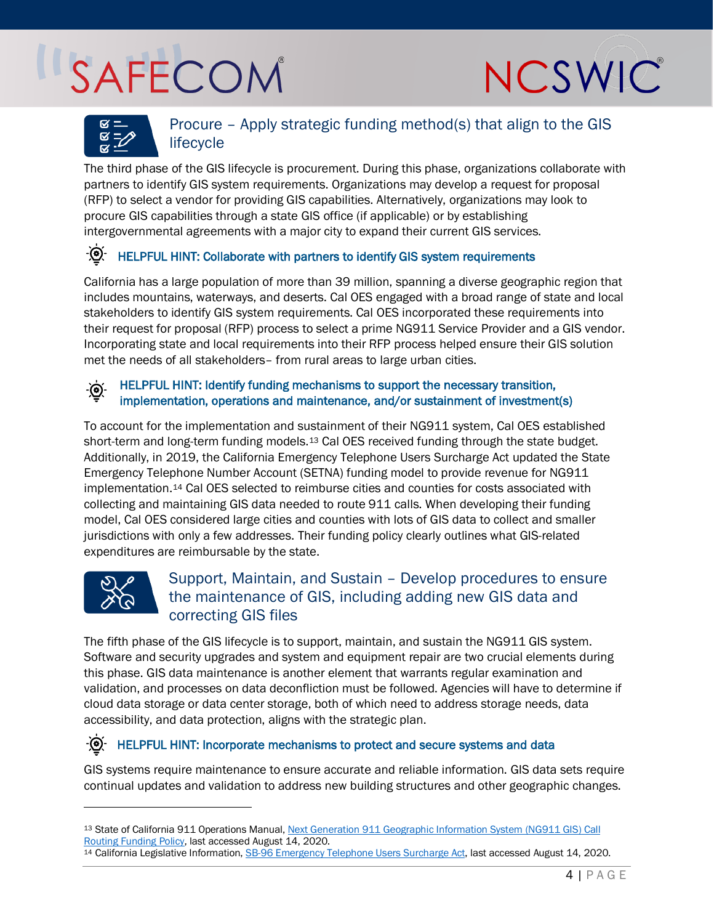



### Procure – Apply strategic funding method(s) that align to the GIS lifecycle

The third phase of the GIS lifecycle is procurement. During this phase, organizations collaborate with partners to identify GIS system requirements. Organizations may develop a request for proposal (RFP) to select a vendor for providing GIS capabilities. Alternatively, organizations may look to procure GIS capabilities through a state GIS office (if applicable) or by establishing intergovernmental agreements with a major city to expand their current GIS services.

#### HELPFUL HINT: Collaborate with partners to identify GIS system requirements  $-\bigcirc$

California has a large population of more than 39 million, spanning a diverse geographic region that includes mountains, waterways, and deserts. Cal OES engaged with a broad range of state and local stakeholders to identify GIS system requirements. Cal OES incorporated these requirements into their request for proposal (RFP) process to select a prime NG911 Service Provider and a GIS vendor. Incorporating state and local requirements into their RFP process helped ensure their GIS solution met the needs of all stakeholders– from rural areas to large urban cities.

#### HELPFUL HINT: Identify funding mechanisms to support the necessary transition,  $\cdot$   $\odot$ implementation, operations and maintenance, and/or sustainment of investment(s)

To account for the implementation and sustainment of their NG911 system, Cal OES established short-term and long-term funding models.<sup>[13](#page-3-0)</sup> Cal OES received funding through the state budget. Additionally, in 2019, the California Emergency Telephone Users Surcharge Act updated the State Emergency Telephone Number Account (SETNA) funding model to provide revenue for NG911 implementation.[14](#page-3-1) Cal OES selected to reimburse cities and counties for costs associated with collecting and maintaining GIS data needed to route 911 calls. When developing their funding model, Cal OES considered large cities and counties with lots of GIS data to collect and smaller jurisdictions with only a few addresses. Their funding policy clearly outlines what GIS-related expenditures are reimbursable by the state.



### Support, Maintain, and Sustain – Develop procedures to ensure the maintenance of GIS, including adding new GIS data and correcting GIS files

The fifth phase of the GIS lifecycle is to support, maintain, and sustain the NG911 GIS system. Software and security upgrades and system and equipment repair are two crucial elements during this phase. GIS data maintenance is another element that warrants regular examination and validation, and processes on data deconfliction must be followed. Agencies will have to determine if cloud data storage or data center storage, both of which need to address storage needs, data accessibility, and data protection, aligns with the strategic plan.

#### HELPFUL HINT: Incorporate mechanisms to protect and secure systems and data  $-\bigcirc$

GIS systems require maintenance to ensure accurate and reliable information. GIS data sets require continual updates and validation to address new building structures and other geographic changes.

<span id="page-3-0"></span><sup>13</sup> State of California 911 Operations Manual[, Next Generation 911 Geographic Information System \(NG911 GIS\) Call](https://www.caloes.ca.gov/PublicSafetyCommunicationsSite/Documents/012-ChapterXIGISFunding.pdf)  [Routing Funding Policy,](https://www.caloes.ca.gov/PublicSafetyCommunicationsSite/Documents/012-ChapterXIGISFunding.pdf) last accessed August 14, 2020.

<span id="page-3-1"></span><sup>14</sup> California Legislative Information[, SB-96 Emergency Telephone Users Surcharge Act,](http://leginfo.legislature.ca.gov/faces/billTextClient.xhtml?bill_id=201920200SB96) last accessed August 14, 2020.